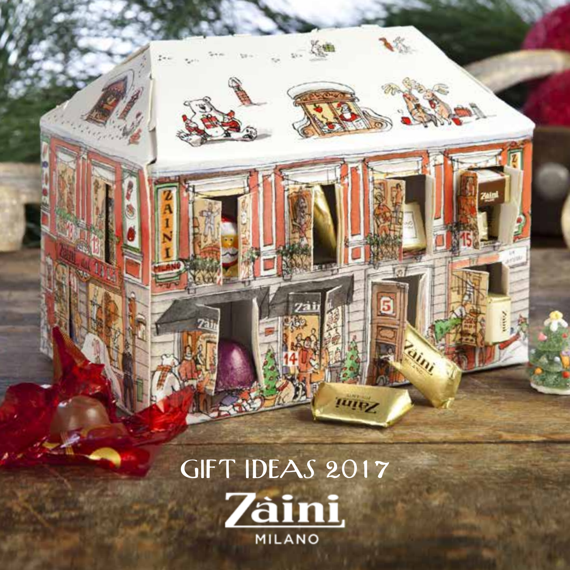GIFT IDEAS 2017**Zàini** MILANO

 $\mathcal{B}_{\mathcal{A}}$ 

海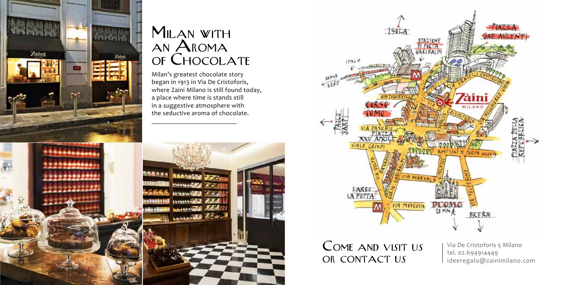

#### MILAN WITH an Aroma of Chocolate

Milan's greatest chocolate story began in 1913 in Via De Cristoforis, where Zaini Milano is still found today, a place where time is stands still in a suggestive atmosphere with the seductive aroma of chocolate.





Come and visit us OR CONTACT US

Via De Cristoforis 5 Milano tel. 02.694914449 [ideeregalo@zainimilano.com](mailto:ideeregalo@zainimilano.com)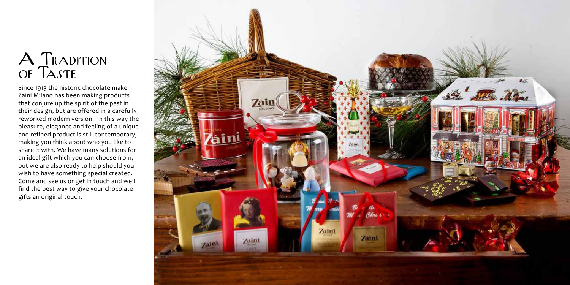## $A$   $\Gamma$ Radition of Taste

Since 1913 the historic chocolate maker Zaini Milano has been making products that conjure up the spirit of the past in their design, but are offered in a carefully reworked modern version. In this way the pleasure, elegance and feeling of a unique and refined product is still contemporary, making you think about who you like to share it with. We have many solutions for an ideal gift which you can choose from, but we are also ready to help should you wish to have something special created. Come and see us or get in touch and we'll find the best way to give your chocolate gifts an original touch.

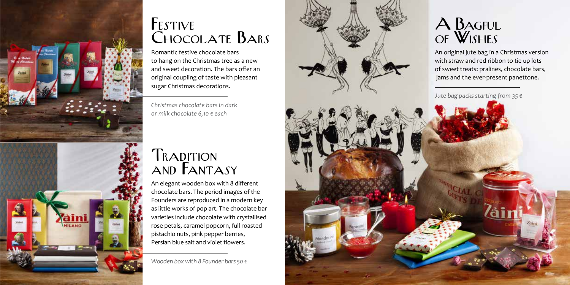

## FESTIVE Chocolate Bars

Romantic festive chocolate bars to hang on the Christmas tree as a new and sweet decoration. The bars offer an original coupling of taste with pleasant sugar Christmas decorations.

*Christmas chocolate bars in dark or milk chocolate 6,10 € each*

#### **TRADITION** and FANTASY

An elegant wooden box with 8 different chocolate bars. The period images of the Founders are reproduced in a modern key as little works of pop art. The chocolate bar varieties include chocolate with crystallised rose petals, caramel popcorn, full roasted pistachio nuts, pink pepper berries, Persian blue salt and violet flowers.

*Wooden box with 8 Founder bars 50 €* 

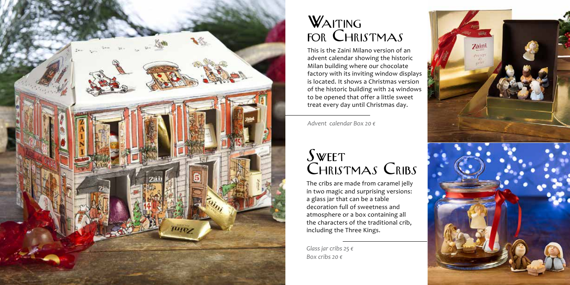

### WAITING for Christmas

This is the Zaini Milano version of an advent calendar showing the historic Milan building where our chocolate factory with its inviting window displays is located. It shows a Christmas version of the historic building with 24 windows to be opened that offer a little sweet treat every day until Christmas day.

*Advent calendar Box 20 €* 

## **SWEET** Christmas Cribs

The cribs are made from caramel jelly in two magic and surprising versions: a glass jar that can be a table decoration full of sweetness and atmosphere or a box containing all the characters of the traditional crib, including the Three Kings.

*Glass jar cribs 25 € Box cribs 20 €* 

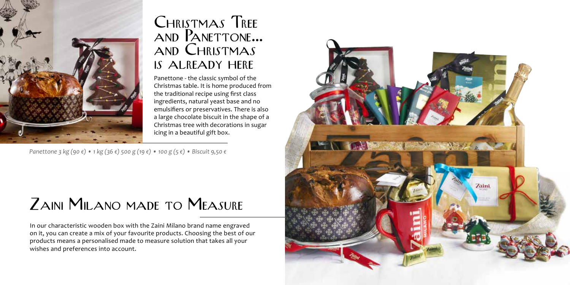

#### Christmas Tree and Panettone... and Christmas is already here

Panettone - the classic symbol of the Christmas table. It is home produced from the traditional recipe using first class ingredients, natural yeast base and no emulsifiers or preservatives. There is also a large chocolate biscuit in the shape of a Christmas tree with decorations in sugar icing in a beautiful gift box.

*Panettone 3 kg (90 €) • 1 kg (36 €) 500 g (19 €) • 100 g (5 €) • Biscuit 9,50 €* 

## ZAINI MILANO MADE TO MEASURE

In our characteristic wooden box with the Zaini Milano brand name engraved on it, you can create a mix of your favourite products. Choosing the best of our products means a personalised made to measure solution that takes all your wishes and preferences into account.

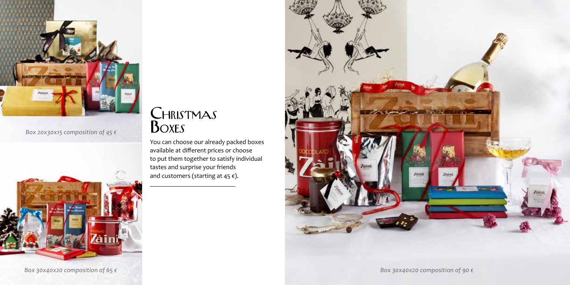

*Box 20x30x15 composition of 45 €*

#### CHRISTMAS **BOXES**

You can choose our already packed boxes available at different prices or choose to put them together to satisfy individual tastes and surprise your friends and customers (starting at 45 $\varepsilon$ ).



*Box 30x40x20 composition of 65 € Box 30x40x20 composition of 90 €*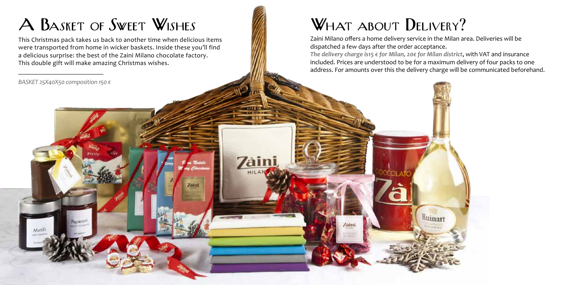# A BASKET OF SWEET WISHES

This Christmas pack takes us back to another time when delicious items were transported from home in wicker baskets. Inside these you'll find a delicious surprise: the best of the Zaini Milano chocolate factory. This double gift will make amazing Christmas wishes.

**Zam** 

**Zaini** 

*BASKET 25X40X50 composition 150 €*

eneron

# WHAT ABOUT DELIVERY?

aini

Zaini Milano offers a home delivery service in the Milan area. Deliveries will be dispatched a few days after the order acceptance.

*The delivery charge is15 € for Milan, 20€ for Milan district*, with VAT and insurance included. Prices are understood to be for a maximum delivery of four packs to one address. For amounts over this the delivery charge will be communicated beforehand.

Ruinart